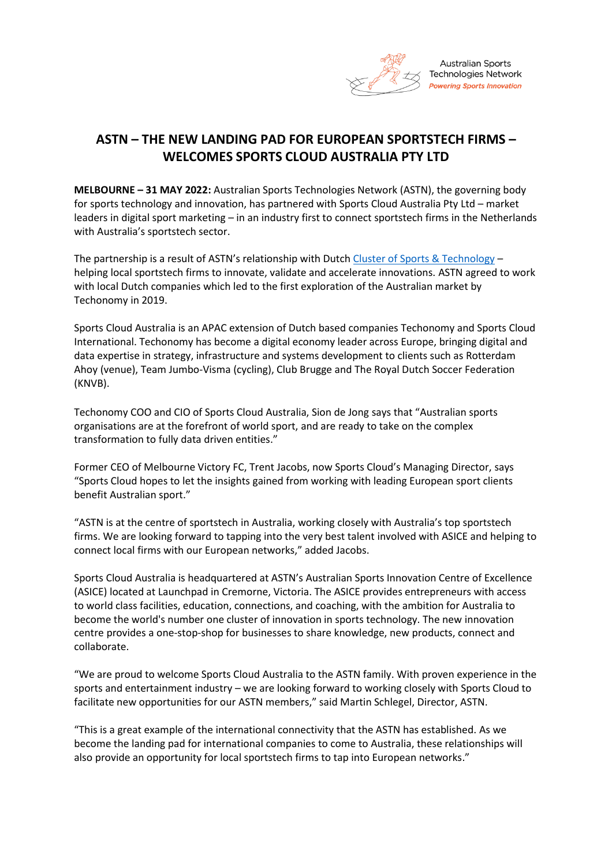

# **ASTN – THE NEW LANDING PAD FOR EUROPEAN SPORTSTECH FIRMS – WELCOMES SPORTS CLOUD AUSTRALIA PTY LTD**

**MELBOURNE – 31 MAY 2022:** Australian Sports Technologies Network (ASTN), the governing body for sports technology and innovation, has partnered with Sports Cloud Australia Pty Ltd – market leaders in digital sport marketing – in an industry first to connect sportstech firms in the Netherlands with Australia's sportstech sector.

The partnership is a result of ASTN's relationship with Dutch [Cluster of Sports & Technology](https://sportsandtechnology.com/en/about-the-cluster/) – helping local sportstech firms to innovate, validate and accelerate innovations. ASTN agreed to work with local Dutch companies which led to the first exploration of the Australian market by Techonomy in 2019.

Sports Cloud Australia is an APAC extension of Dutch based companies Techonomy and Sports Cloud International. Techonomy has become a digital economy leader across Europe, bringing digital and data expertise in strategy, infrastructure and systems development to clients such as Rotterdam Ahoy (venue), Team Jumbo-Visma (cycling), Club Brugge and The Royal Dutch Soccer Federation (KNVB).

Techonomy COO and CIO of Sports Cloud Australia, Sion de Jong says that "Australian sports organisations are at the forefront of world sport, and are ready to take on the complex transformation to fully data driven entities."

Former CEO of Melbourne Victory FC, Trent Jacobs, now Sports Cloud's Managing Director, says "Sports Cloud hopes to let the insights gained from working with leading European sport clients benefit Australian sport."

"ASTN is at the centre of sportstech in Australia, working closely with Australia's top sportstech firms. We are looking forward to tapping into the very best talent involved with ASICE and helping to connect local firms with our European networks," added Jacobs.

Sports Cloud Australia is headquartered at ASTN's Australian Sports Innovation Centre of Excellence (ASICE) located at Launchpad in Cremorne, Victoria. The ASICE provides entrepreneurs with access to world class facilities, education, connections, and coaching, with the ambition for Australia to become the world's number one cluster of innovation in sports technology. The new innovation centre provides a one-stop-shop for businesses to share knowledge, new products, connect and collaborate.

"We are proud to welcome Sports Cloud Australia to the ASTN family. With proven experience in the sports and entertainment industry – we are looking forward to working closely with Sports Cloud to facilitate new opportunities for our ASTN members," said Martin Schlegel, Director, ASTN.

"This is a great example of the international connectivity that the ASTN has established. As we become the landing pad for international companies to come to Australia, these relationships will also provide an opportunity for local sportstech firms to tap into European networks."